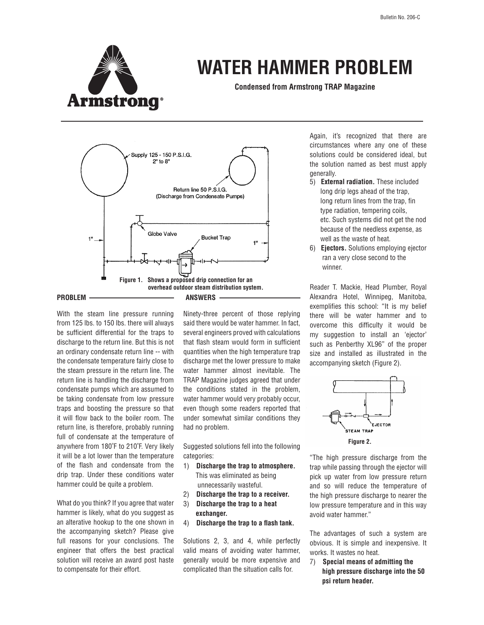

## **WATER HAMMER PROBLEM**

**Condensed from Armstrong TRAP Magazine**



With the steam line pressure running from 125 lbs. to 150 lbs. there will always be sufficient differential for the traps to discharge to the return line. But this is not an ordinary condensate return line -- with the condensate temperature fairly close to the steam pressure in the return line. The return line is handling the discharge from condensate pumps which are assumed to be taking condensate from low pressure traps and boosting the pressure so that it will flow back to the boiler room. The return line, is therefore, probably running full of condensate at the temperature of anywhere from 180˚F to 210˚F. Very likely it will be a lot lower than the temperature of the flash and condensate from the drip trap. Under these conditions water hammer could be quite a problem.

What do you think? If you agree that water hammer is likely, what do you suggest as an alterative hookup to the one shown in the accompanying sketch? Please give full reasons for your conclusions. The engineer that offers the best practical solution will receive an award post haste to compensate for their effort.

Ninety-three percent of those replying said there would be water hammer. In fact, several engineers proved with calculations that flash steam would form in sufficient quantities when the high temperature trap discharge met the lower pressure to make water hammer almost inevitable. The TRAP Magazine judges agreed that under the conditions stated in the problem, water hammer would very probably occur, even though some readers reported that under somewhat similar conditions they had no problem.

Suggested solutions fell into the following categories:

- 1) **Discharge the trap to atmosphere.** This was eliminated as being unnecessarily wasteful.
- 2) **Discharge the trap to a receiver.**
- 3) **Discharge the trap to a heat exchanger.**
- 4) **Discharge the trap to a flash tank.**

Solutions 2, 3, and 4, while perfectly valid means of avoiding water hammer, generally would be more expensive and complicated than the situation calls for.

Again, it's recognized that there are circumstances where any one of these solutions could be considered ideal, but the solution named as best must apply generally.

- 5) **External radiation.** These included long drip legs ahead of the trap, long return lines from the trap, fin type radiation, tempering coils, etc. Such systems did not get the nod because of the needless expense, as well as the waste of heat.
- 6) **Ejectors.** Solutions employing ejector ran a very close second to the winner.

Reader T. Mackie, Head Plumber, Royal Alexandra Hotel, Winnipeg, Manitoba, exemplifies this school: "It is my belief there will be water hammer and to overcome this difficulty it would be my suggestion to install an 'ejector' such as Penberthy XL96" of the proper size and installed as illustrated in the accompanying sketch (Figure 2).



"The high pressure discharge from the trap while passing through the ejector will pick up water from low pressure return and so will reduce the temperature of the high pressure discharge to nearer the low pressure temperature and in this way avoid water hammer."

The advantages of such a system are obvious. It is simple and inexpensive. It works. It wastes no heat.

7) **Special means of admitting the high pressure discharge into the 50 psi return header.**